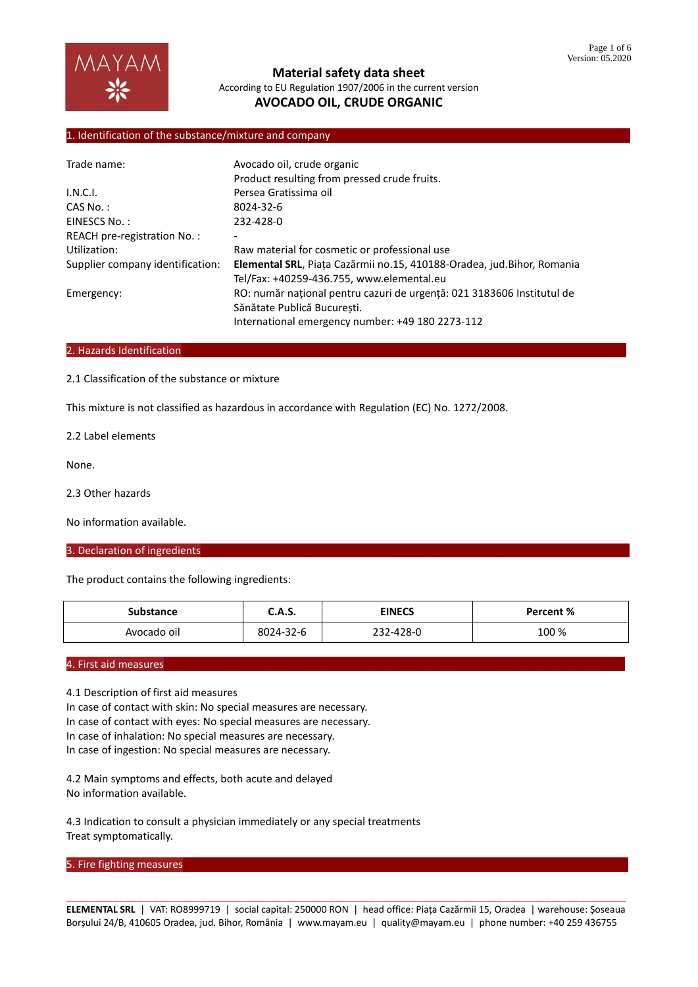

## 1. Identification of the substance/mixture and company

| Trade name:                      | Avocado oil, crude organic                                             |  |  |
|----------------------------------|------------------------------------------------------------------------|--|--|
|                                  | Product resulting from pressed crude fruits.                           |  |  |
| I.N.C.I.                         | Persea Gratissima oil                                                  |  |  |
| $CAS No.$ :                      | 8024-32-6                                                              |  |  |
| EINESCS No.:                     | 232-428-0                                                              |  |  |
| REACH pre-registration No.:      |                                                                        |  |  |
| Utilization:                     | Raw material for cosmetic or professional use                          |  |  |
| Supplier company identification: | Elemental SRL, Piața Cazărmii no.15, 410188-Oradea, jud.Bihor, Romania |  |  |
|                                  | Tel/Fax: +40259-436.755, www.elemental.eu                              |  |  |
| Emergency:                       | RO: număr național pentru cazuri de urgență: 021 3183606 Institutul de |  |  |
|                                  | Sănătate Publică Bucuresti.                                            |  |  |
|                                  | International emergency number: +49 180 2273-112                       |  |  |

#### 2. Hazards Identification

2.1 Classification of the substance or mixture

This mixture is not classified as hazardous in accordance with Regulation (EC) No. 1272/2008.

2.2 Label elements

None.

2.3 Other hazards

No information available.

### 3. Declaration of ingredients

The product contains the following ingredients:

| Substance   | <b>C.A.S.</b> | <b>EINECS</b> | Percent % |
|-------------|---------------|---------------|-----------|
| Avocado oil | 8024-32-6     | 232-428-0     | 100 %     |

#### 4. First aid measures

4.1 Description of first aid measures

In case of contact with skin: No special measures are necessary. In case of contact with eyes: No special measures are necessary. In case of inhalation: No special measures are necessary. In case of ingestion: No special measures are necessary.

4.2 Main symptoms and effects, both acute and delayed No information available.

4.3 Indication to consult a physician immediately or any special treatments Treat symptomatically.

#### 5. Fire fighting measures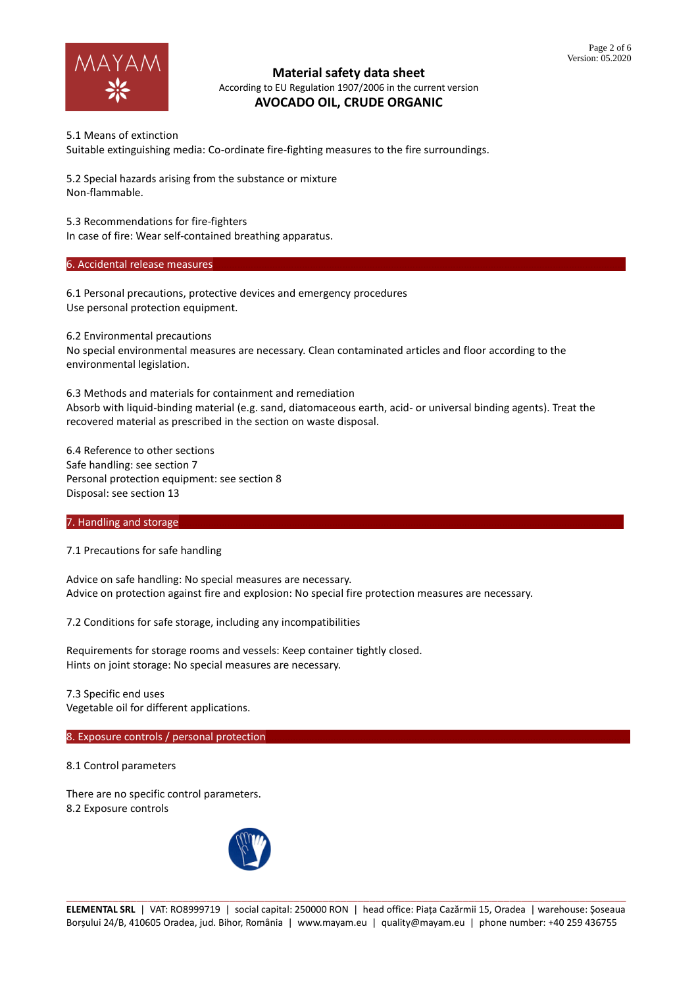

5.1 Means of extinction Suitable extinguishing media: Co-ordinate fire-fighting measures to the fire surroundings.

5.2 Special hazards arising from the substance or mixture Non-flammable.

5.3 Recommendations for fire-fighters

In case of fire: Wear self-contained breathing apparatus.

6. Accidental release measures

6.1 Personal precautions, protective devices and emergency procedures Use personal protection equipment.

6.2 Environmental precautions No special environmental measures are necessary. Clean contaminated articles and floor according to the environmental legislation.

6.3 Methods and materials for containment and remediation Absorb with liquid-binding material (e.g. sand, diatomaceous earth, acid- or universal binding agents). Treat the recovered material as prescribed in the section on waste disposal.

6.4 Reference to other sections Safe handling: see section 7 Personal protection equipment: see section 8 Disposal: see section 13

# 7. Handling and storage

7.1 Precautions for safe handling

Advice on safe handling: No special measures are necessary. Advice on protection against fire and explosion: No special fire protection measures are necessary.

7.2 Conditions for safe storage, including any incompatibilities

Requirements for storage rooms and vessels: Keep container tightly closed. Hints on joint storage: No special measures are necessary.

7.3 Specific end uses Vegetable oil for different applications.

8. Exposure controls / personal protection

8.1 Control parameters

There are no specific control parameters. 8.2 Exposure controls

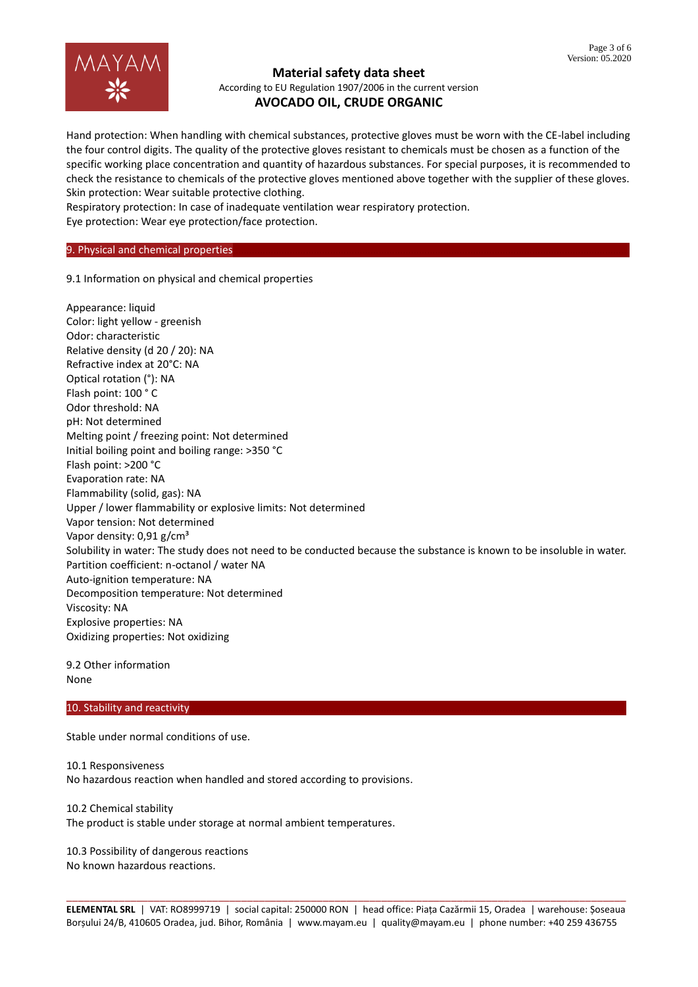

Hand protection: When handling with chemical substances, protective gloves must be worn with the CE-label including the four control digits. The quality of the protective gloves resistant to chemicals must be chosen as a function of the specific working place concentration and quantity of hazardous substances. For special purposes, it is recommended to check the resistance to chemicals of the protective gloves mentioned above together with the supplier of these gloves. Skin protection: Wear suitable protective clothing.

Respiratory protection: In case of inadequate ventilation wear respiratory protection.

Eye protection: Wear eye protection/face protection.

## 9. Physical and chemical properties

9.1 Information on physical and chemical properties

Appearance: liquid Color: light yellow - greenish Odor: characteristic Relative density (d 20 / 20): NA Refractive index at 20°C: NA Optical rotation (°): NA Flash point: 100 ° C Odor threshold: NA pH: Not determined Melting point / freezing point: Not determined Initial boiling point and boiling range: >350 °C Flash point: >200 °C Evaporation rate: NA Flammability (solid, gas): NA Upper / lower flammability or explosive limits: Not determined Vapor tension: Not determined Vapor density: 0,91 g/cm<sup>3</sup> Solubility in water: The study does not need to be conducted because the substance is known to be insoluble in water. Partition coefficient: n-octanol / water NA Auto-ignition temperature: NA Decomposition temperature: Not determined Viscosity: NA Explosive properties: NA Oxidizing properties: Not oxidizing

9.2 Other information None

### 10. Stability and reactivity

Stable under normal conditions of use.

10.1 Responsiveness No hazardous reaction when handled and stored according to provisions.

10.2 Chemical stability The product is stable under storage at normal ambient temperatures.

10.3 Possibility of dangerous reactions No known hazardous reactions.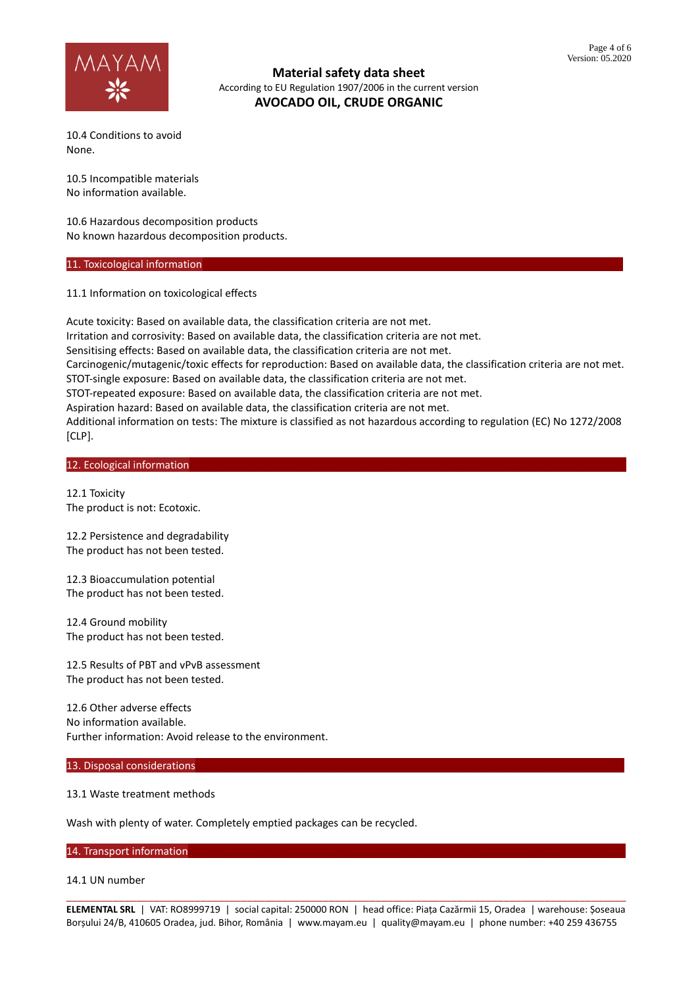

10.4 Conditions to avoid None.

10.5 Incompatible materials No information available.

10.6 Hazardous decomposition products No known hazardous decomposition products.

#### 11. Toxicological information

11.1 Information on toxicological effects

Acute toxicity: Based on available data, the classification criteria are not met. Irritation and corrosivity: Based on available data, the classification criteria are not met. Sensitising effects: Based on available data, the classification criteria are not met. Carcinogenic/mutagenic/toxic effects for reproduction: Based on available data, the classification criteria are not met. STOT-single exposure: Based on available data, the classification criteria are not met. STOT-repeated exposure: Based on available data, the classification criteria are not met. Aspiration hazard: Based on available data, the classification criteria are not met. Additional information on tests: The mixture is classified as not hazardous according to regulation (EC) No 1272/2008 [CLP].

### 12. Ecological information

12.1 Toxicity The product is not: Ecotoxic.

12.2 Persistence and degradability The product has not been tested.

12.3 Bioaccumulation potential The product has not been tested.

12.4 Ground mobility The product has not been tested.

12.5 Results of PBT and vPvB assessment The product has not been tested.

12.6 Other adverse effects No information available. Further information: Avoid release to the environment.

### 13. Disposal considerations

## 13.1 Waste treatment methods

Wash with plenty of water. Completely emptied packages can be recycled.

14. Transport information

#### 14.1 UN number

\_\_\_\_\_\_\_\_\_\_\_\_\_\_\_\_\_\_\_\_\_\_\_\_\_\_\_\_\_\_\_\_\_\_\_\_\_\_\_\_\_\_\_\_\_\_\_\_\_\_\_\_\_\_\_\_\_\_\_\_\_\_\_\_\_\_\_\_\_\_\_\_\_\_\_\_\_\_\_\_\_\_\_\_\_\_\_\_\_\_\_\_\_\_\_\_ **ELEMENTAL SRL** | VAT: RO8999719 | social capital: 250000 RON | head office: Piața Cazărmii 15, Oradea | warehouse: Șoseaua Borșului 24/B, 410605 Oradea, jud. Bihor, România | www.mayam.eu | quality@mayam.eu | phone number: +40 259 436755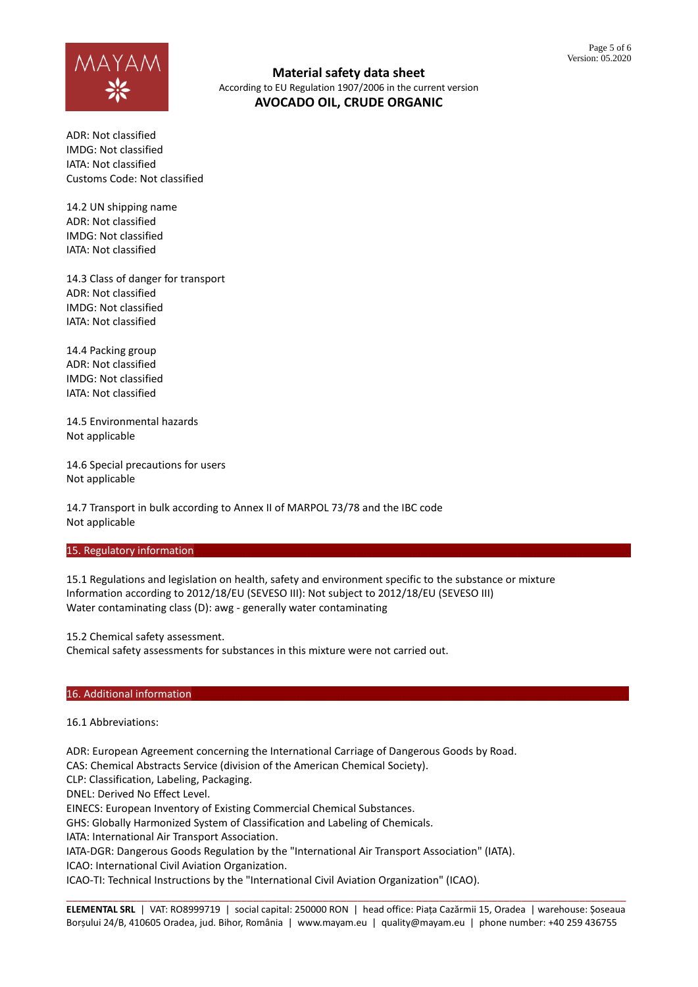

ADR: Not classified IMDG: Not classified IATA: Not classified Customs Code: Not classified

14.2 UN shipping name ADR: Not classified IMDG: Not classified IATA: Not classified

14.3 Class of danger for transport ADR: Not classified IMDG: Not classified IATA: Not classified

14.4 Packing group ADR: Not classified IMDG: Not classified IATA: Not classified

14.5 Environmental hazards Not applicable

14.6 Special precautions for users Not applicable

14.7 Transport in bulk according to Annex II of MARPOL 73/78 and the IBC code Not applicable

### 15. Regulatory information

15.1 Regulations and legislation on health, safety and environment specific to the substance or mixture Information according to 2012/18/EU (SEVESO III): Not subject to 2012/18/EU (SEVESO III) Water contaminating class (D): awg - generally water contaminating

15.2 Chemical safety assessment.

Chemical safety assessments for substances in this mixture were not carried out.

### 16. Additional information

16.1 Abbreviations:

ADR: European Agreement concerning the International Carriage of Dangerous Goods by Road.

CAS: Chemical Abstracts Service (division of the American Chemical Society).

CLP: Classification, Labeling, Packaging.

DNEL: Derived No Effect Level.

EINECS: European Inventory of Existing Commercial Chemical Substances.

GHS: Globally Harmonized System of Classification and Labeling of Chemicals.

IATA: International Air Transport Association.

IATA-DGR: Dangerous Goods Regulation by the "International Air Transport Association" (IATA).

ICAO: International Civil Aviation Organization.

ICAO-TI: Technical Instructions by the "International Civil Aviation Organization" (ICAO).

\_\_\_\_\_\_\_\_\_\_\_\_\_\_\_\_\_\_\_\_\_\_\_\_\_\_\_\_\_\_\_\_\_\_\_\_\_\_\_\_\_\_\_\_\_\_\_\_\_\_\_\_\_\_\_\_\_\_\_\_\_\_\_\_\_\_\_\_\_\_\_\_\_\_\_\_\_\_\_\_\_\_\_\_\_\_\_\_\_\_\_\_\_\_\_\_ **ELEMENTAL SRL** | VAT: RO8999719 | social capital: 250000 RON | head office: Piața Cazărmii 15, Oradea | warehouse: Șoseaua Borșului 24/B, 410605 Oradea, jud. Bihor, România | www.mayam.eu | quality@mayam.eu | phone number: +40 259 436755